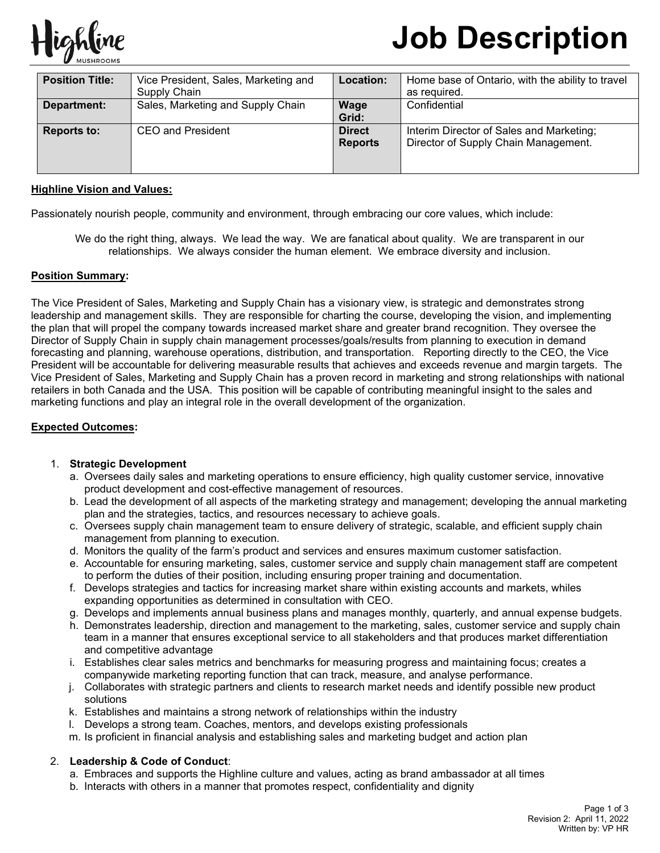

# **Job Description**

| <b>Position Title:</b> | Vice President, Sales, Marketing and<br>Supply Chain | Location:                       | Home base of Ontario, with the ability to travel<br>as reguired.                 |
|------------------------|------------------------------------------------------|---------------------------------|----------------------------------------------------------------------------------|
| Department:            | Sales, Marketing and Supply Chain                    | Wage<br>Grid:                   | Confidential                                                                     |
| <b>Reports to:</b>     | CEO and President                                    | <b>Direct</b><br><b>Reports</b> | Interim Director of Sales and Marketing;<br>Director of Supply Chain Management. |

#### **Highline Vision and Values:**

Passionately nourish people, community and environment, through embracing our core values, which include:

We do the right thing, always. We lead the way. We are fanatical about quality. We are transparent in our relationships. We always consider the human element. We embrace diversity and inclusion.

## **Position Summary:**

The Vice President of Sales, Marketing and Supply Chain has a visionary view, is strategic and demonstrates strong leadership and management skills. They are responsible for charting the course, developing the vision, and implementing the plan that will propel the company towards increased market share and greater brand recognition. They oversee the Director of Supply Chain in supply chain management processes/goals/results from planning to execution in demand forecasting and planning, warehouse operations, distribution, and transportation. Reporting directly to the CEO, the Vice President will be accountable for delivering measurable results that achieves and exceeds revenue and margin targets. The Vice President of Sales, Marketing and Supply Chain has a proven record in marketing and strong relationships with national retailers in both Canada and the USA. This position will be capable of contributing meaningful insight to the sales and marketing functions and play an integral role in the overall development of the organization.

#### **Expected Outcomes:**

#### 1. **Strategic Development**

- a. Oversees daily sales and marketing operations to ensure efficiency, high quality customer service, innovative product development and cost-effective management of resources.
- b. Lead the development of all aspects of the marketing strategy and management; developing the annual marketing plan and the strategies, tactics, and resources necessary to achieve goals.
- c. Oversees supply chain management team to ensure delivery of strategic, scalable, and efficient supply chain management from planning to execution.
- d. Monitors the quality of the farm's product and services and ensures maximum customer satisfaction.
- e. Accountable for ensuring marketing, sales, customer service and supply chain management staff are competent to perform the duties of their position, including ensuring proper training and documentation.
- f. Develops strategies and tactics for increasing market share within existing accounts and markets, whiles expanding opportunities as determined in consultation with CEO.
- g. Develops and implements annual business plans and manages monthly, quarterly, and annual expense budgets.
- h. Demonstrates leadership, direction and management to the marketing, sales, customer service and supply chain team in a manner that ensures exceptional service to all stakeholders and that produces market differentiation and competitive advantage
- i. Establishes clear sales metrics and benchmarks for measuring progress and maintaining focus; creates a companywide marketing reporting function that can track, measure, and analyse performance.
- j. Collaborates with strategic partners and clients to research market needs and identify possible new product solutions
- k. Establishes and maintains a strong network of relationships within the industry
- l. Develops a strong team. Coaches, mentors, and develops existing professionals
- m. Is proficient in financial analysis and establishing sales and marketing budget and action plan

#### 2. **Leadership & Code of Conduct**:

- a. Embraces and supports the Highline culture and values, acting as brand ambassador at all times
- b. Interacts with others in a manner that promotes respect, confidentiality and dignity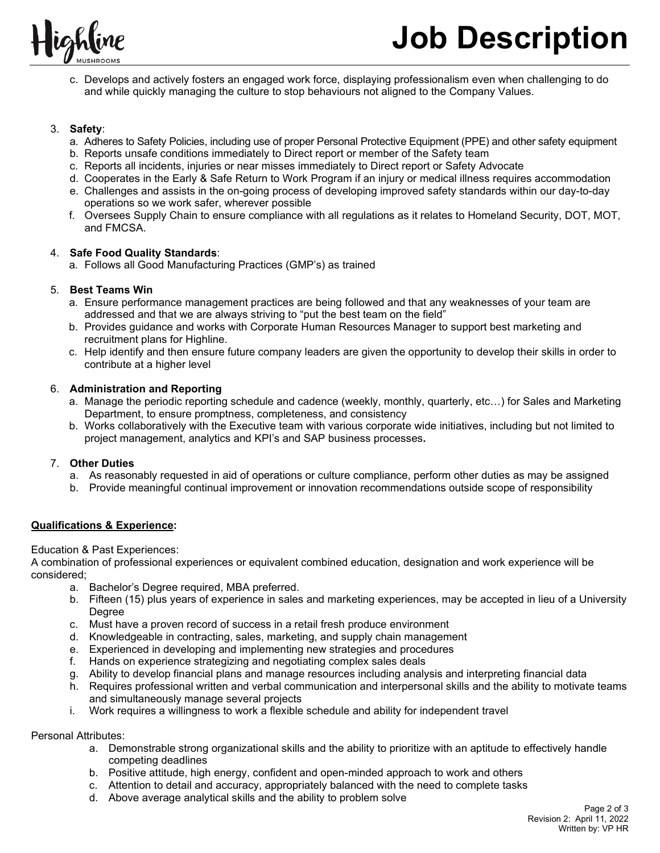

c. Develops and actively fosters an engaged work force, displaying professionalism even when challenging to do and while quickly managing the culture to stop behaviours not aligned to the Company Values.

#### 3. **Safety**:

- a. Adheres to Safety Policies, including use of proper Personal Protective Equipment (PPE) and other safety equipment
- b. Reports unsafe conditions immediately to Direct report or member of the Safety team
- c. Reports all incidents, injuries or near misses immediately to Direct report or Safety Advocate
- d. Cooperates in the Early & Safe Return to Work Program if an injury or medical illness requires accommodation
- e. Challenges and assists in the on-going process of developing improved safety standards within our day-to-day operations so we work safer, wherever possible
- f. Oversees Supply Chain to ensure compliance with all regulations as it relates to Homeland Security, DOT, MOT, and FMCSA.

## 4. **Safe Food Quality Standards**:

a. Follows all Good Manufacturing Practices (GMP's) as trained

## 5. **Best Teams Win**

- a. Ensure performance management practices are being followed and that any weaknesses of your team are addressed and that we are always striving to "put the best team on the field"
- b. Provides guidance and works with Corporate Human Resources Manager to support best marketing and recruitment plans for Highline.
- c. Help identify and then ensure future company leaders are given the opportunity to develop their skills in order to contribute at a higher level

## 6. **Administration and Reporting**

- a. Manage the periodic reporting schedule and cadence (weekly, monthly, quarterly, etc…) for Sales and Marketing Department, to ensure promptness, completeness, and consistency
- b. Works collaboratively with the Executive team with various corporate wide initiatives, including but not limited to project management, analytics and KPI's and SAP business processes**.**

# 7. **Other Duties**

- a. As reasonably requested in aid of operations or culture compliance, perform other duties as may be assigned
- b. Provide meaningful continual improvement or innovation recommendations outside scope of responsibility

# **Qualifications & Experience:**

Education & Past Experiences:

A combination of professional experiences or equivalent combined education, designation and work experience will be considered;

- a. Bachelor's Degree required, MBA preferred.
- b. Fifteen (15) plus years of experience in sales and marketing experiences, may be accepted in lieu of a University **Degree**
- c. Must have a proven record of success in a retail fresh produce environment
- d. Knowledgeable in contracting, sales, marketing, and supply chain management
- e. Experienced in developing and implementing new strategies and procedures
- f. Hands on experience strategizing and negotiating complex sales deals
- g. Ability to develop financial plans and manage resources including analysis and interpreting financial data
- h. Requires professional written and verbal communication and interpersonal skills and the ability to motivate teams and simultaneously manage several projects
- i. Work requires a willingness to work a flexible schedule and ability for independent travel

Personal Attributes:

- a. Demonstrable strong organizational skills and the ability to prioritize with an aptitude to effectively handle competing deadlines
- b. Positive attitude, high energy, confident and open-minded approach to work and others
- c. Attention to detail and accuracy, appropriately balanced with the need to complete tasks
- d. Above average analytical skills and the ability to problem solve